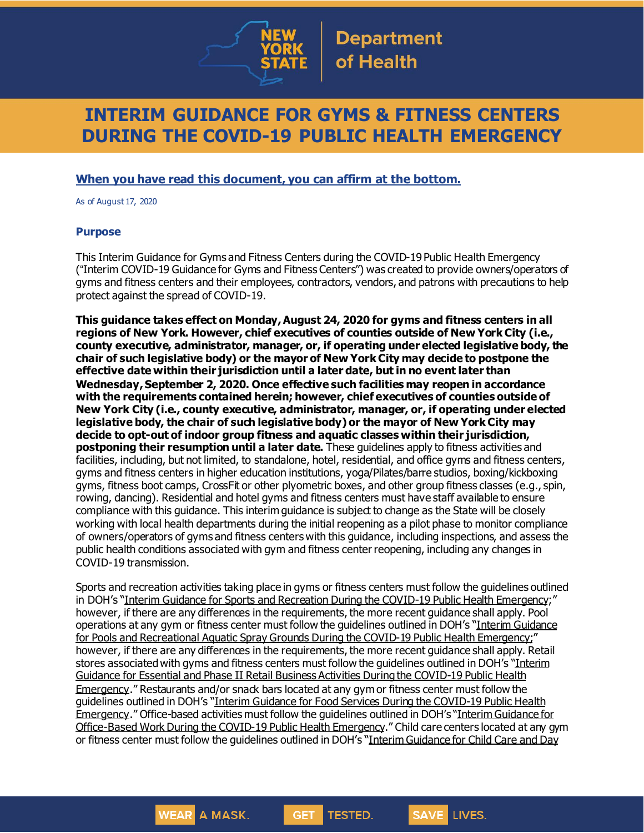

# **INTERIM GUIDANCE FOR GYMS & FITNESS CENTERS DURING THE COVID-19 PUBLIC HEALTH EMERGENCY**

#### **When you have read this document, you can affirm at the bottom.**

As of August 17, 2020

#### **Purpose**

This Interim Guidance for Gyms and Fitness Centers during the COVID-19 Public Health Emergency ("Interim COVID-19 Guidance for Gyms and Fitness Centers") was created to provide owners/operators of gyms and fitness centers and their employees, contractors, vendors, and patrons with precautions to help protect against the spread of COVID-19.

**This guidance takes effect on Monday,August 24, 2020 for gyms and fitness centers in all regions of New York. However, chief executives of counties outside of New York City (i.e., county executive, administrator, manager, or, if operating under elected legislative body, the chair of such legislative body) or the mayor of New York City may decide to postpone the effective date within their jurisdiction until a later date, but in no event later than Wednesday,September 2, 2020. Once effective such facilities may reopen in accordance with the requirements contained herein; however, chief executives of counties outside of New York City (i.e., county executive, administrator, manager, or, if operating under elected legislative body, the chair of such legislative body) or the mayor of New York City may decide to opt-out of indoor group fitness and aquatic classes within their jurisdiction, postponing their resumption until a later date.** These guidelines apply to fitness activities and facilities, including, but not limited, to standalone, hotel, residential, and office gyms and fitness centers, gyms and fitness centers in higher education institutions, yoga/Pilates/barre studios, boxing/kickboxing gyms, fitness boot camps, CrossFit or other plyometric boxes, and other group fitness classes (e.g., spin, rowing, dancing). Residential and hotel gyms and fitness centers must have staff available to ensure compliance with this guidance. This interim guidance is subject to change as the State will be closely working with local health departments during the initial reopening as a pilot phase to monitor compliance of owners/operators of gyms and fitness centers with this guidance, including inspections, and assess the public health conditions associated with gym and fitness center reopening, including any changes in COVID-19 transmission.

Sports and recreation activities taking place in gyms or fitness centers must follow the guidelines outlined in DOH's "Interim Guidance for Sports and Recreation During the COVID-19 Public Health [Emergency](https://www.governor.ny.gov/sites/governor.ny.gov/files/atoms/files/SportsAndRecreationMasterGuidance.pdf);" however, if there are any differences in the requirements, the more recent guidance shall apply. Pool operations at any gym or fitness center must follow the guidelines outlined in DOH's "Interim [Guidance](https://coronavirus.health.ny.gov/system/files/documents/2020/06/doh_covid19_pooladvisory_061120_0.pdf) for Pools and [Recreational](https://coronavirus.health.ny.gov/system/files/documents/2020/06/doh_covid19_pooladvisory_061120_0.pdf) Aquatic Spray Grounds During the COVID-19 Public Health Emergency;" however, if there are any differences in the requirements, the more recent guidance shall apply. Retail stores associatedwith gyms and fitness centers must follow the guidelines outlined in DOH's "[Interim](https://www.governor.ny.gov/sites/governor.ny.gov/files/atoms/files/RetailMasterGuidance.pdf) Guidance for Essential and Phase II Retail Business Activities During the [COVID-19](https://www.governor.ny.gov/sites/governor.ny.gov/files/atoms/files/RetailMasterGuidance.pdf) Public Health [Emergency](https://www.governor.ny.gov/sites/governor.ny.gov/files/atoms/files/RetailMasterGuidance.pdf)." Restaurants and/or snack bars located at any gym or fitness center must follow the guidelines outlined in DOH's "Interim Guidance for Food Services During the [COVID-19](https://www.governor.ny.gov/sites/governor.ny.gov/files/atoms/files/Indoor_and_Outdoor_Food_Services_Detailed_Guidelines.pdf) Public Health [Emergency](https://www.governor.ny.gov/sites/governor.ny.gov/files/atoms/files/Indoor_and_Outdoor_Food_Services_Detailed_Guidelines.pdf)." Office-based activities must follow the quidelines outlined in DOH's "Interim [Guidance](https://www.governor.ny.gov/sites/governor.ny.gov/files/atoms/files/offices-interim-guidance.pdf) for [Office-Based](https://www.governor.ny.gov/sites/governor.ny.gov/files/atoms/files/offices-interim-guidance.pdf) Work During the COVID-19 Public Health Emergency." Child care centers located at any gym or fitness center must follow the guidelines outlined in DOH's "Interim [Guidance](https://www.governor.ny.gov/sites/governor.ny.gov/files/atoms/files/Child_Care_Daycamps_Detailed_Guidelines.pdf) for Child Care and Day

> **WEAR A MASK. GET TESTED. SAVE**

LIVES.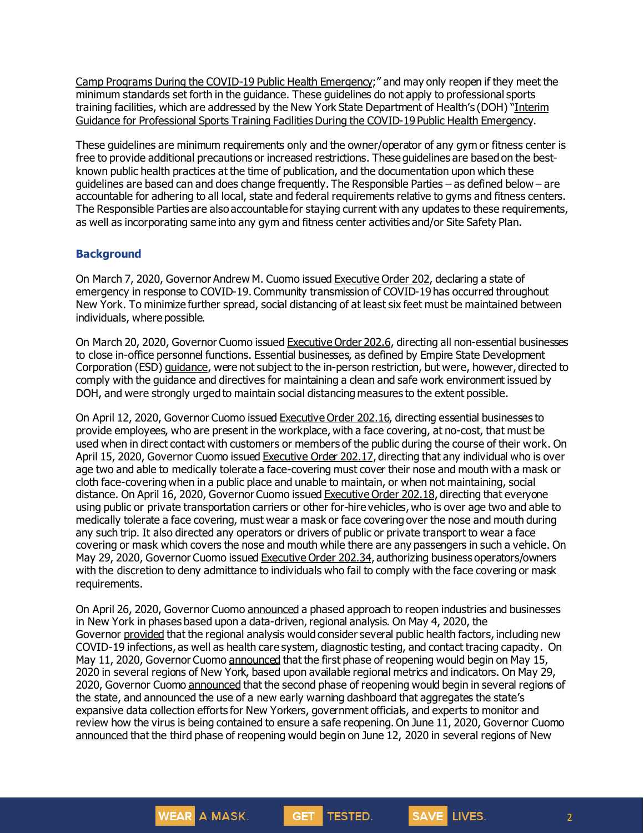Camp Programs During the COVID-19 Public Health [Emergency](https://www.governor.ny.gov/sites/governor.ny.gov/files/atoms/files/Child_Care_Daycamps_Detailed_Guidelines.pdf);" and may only reopen if they meet the minimum standards set forth in the guidance. These guidelines do not apply to professional sports training facilities, which are addressed by the New York State Department of Health's (DOH) "[Interim](https://www.governor.ny.gov/sites/governor.ny.gov/files/atoms/files/ProfessionalSportsTrainingFacilitiesManditoryGuidance.pdf) Guidance for Professional Sports Training [FacilitiesDuring](https://www.governor.ny.gov/sites/governor.ny.gov/files/atoms/files/ProfessionalSportsTrainingFacilitiesManditoryGuidance.pdf) the COVID-19 Public Health Emergency.

These guidelines are minimum requirements only and the owner/operator of any gym or fitness center is free to provide additional precautions or increased restrictions. These guidelines are based on the bestknown public health practices at the time of publication, and the documentation upon which these guidelines are based can and does change frequently. The Responsible Parties – as defined below – are accountable for adhering to all local, state and federal requirements relative to gyms and fitness centers. The Responsible Parties are also accountable for staying current with any updates to these requirements, as well as incorporating same into any gym and fitness center activities and/or Site Safety Plan.

#### **Background**

On March 7, 2020, Governor Andrew M. Cuomo issued [Executive](https://www.governor.ny.gov/news/no-202-declaring-disaster-emergency-state-new-york) Order 202, declaring a state of emergency in response to COVID-19. Community transmission of COVID-19 has occurred throughout New York. To minimize further spread, social distancing of at least six feet must be maintained between individuals, where possible.

On March 20, 2020, Governor Cuomo issued [Executive](https://www.governor.ny.gov/news/no-2026-continuing-temporary-suspension-and-modification-laws-relating-disaster-emergency) Order 202.6, directing all non-essential businesses to close in-office personnel functions. Essential businesses, as defined by Empire State Development Corporation (ESD) [guidance](https://esd.ny.gov/guidance-executive-order-2026), were not subject to the in-person restriction, but were, however, directed to comply with the guidance and directives for maintaining a clean and safe work environment issued by DOH, and were strongly urged to maintain social distancing measures to the extent possible.

On April 12, 2020, Governor Cuomo issued [Executive](https://www.governor.ny.gov/news/no-20216-continuing-temporary-suspension-and-modification-laws-relating-disaster-emergency) Order 202.16, directing essential businesses to provide employees, who are present in the workplace, with a face covering, at no-cost, that must be used when in direct contact with customers or members of the public during the course of their work. On April 15, 2020, Governor Cuomo issued [Executive](https://www.governor.ny.gov/news/no-20217-continuing-temporary-suspension-and-modification-laws-relating-disaster-emergency) Order 202.17, directing that any individual who is over age two and able to medically tolerate a face-covering must cover their nose and mouth with a mask or cloth face-coveringwhen in a public place and unable to maintain, or when not maintaining, social distance. On April 16, 2020, Governor Cuomo issued [Executive](https://www.governor.ny.gov/news/no-20218-continuing-temporary-suspension-and-modification-laws-relating-disaster-emergency) Order 202.18, directing that everyone using public or private transportation carriers or other for-hire vehicles, who is over age two and able to medically tolerate a face covering, must wear a mask or face covering over the nose and mouth during any such trip. It also directed any operators or drivers of public or private transport to wear a face covering or mask which covers the nose and mouth while there are any passengers in such a vehicle. On May 29, 2020, Governor Cuomo issued [Executive](https://www.governor.ny.gov/news/no-20234-continuing-temporary-suspension-and-modification-laws-relating-disaster-emergency) Order 202.34, authorizing business operators/owners with the discretion to deny admittance to individuals who fail to comply with the face covering or mask requirements.

On April 26, 2020, Governor Cuomo [announced](https://www.governor.ny.gov/news/amid-ongoing-covid-19-pandemic-governor-cuomo-outlines-phased-plan-re-open-new-york-starting) a phased approach to reopen industries and businesses in New York in phases based upon a data-driven, regional analysis. On May 4, 2020, the Governor [provided](https://www.governor.ny.gov/news/amid-ongoing-covid-19-pandemic-governor-cuomo-outlines-additional-guidelines-when-regions-can) that the regional analysis would consider several public health factors, including new COVID-19 infections, as well as health care system, diagnostic testing, and contact tracing capacity. On May 11, 2020, Governor Cuomo [announced](https://www.governor.ny.gov/news/amid-ongoing-covid-19-pandemic-governor-cuomo-announces-three-regions-new-york-state-ready) that the first phase of reopening would begin on May 15, 2020 in several regions of New York, based upon available regional metrics and indicators. On May 29, 2020, Governor Cuomo [announced](https://www.governor.ny.gov/news/governor-cuomo-announces-new-york-city-enter-phase-1-reopening-june-8-and-five-regions-enter) that the second phase of reopening would begin in several regions of the state, and announced the use of a new early warning dashboard that aggregates the state's expansive data collection efforts for New Yorkers, government officials, and experts to monitor and review how the virus is being contained to ensure a safe reopening. On June 11, 2020, Governor Cuomo [announced](https://www.governor.ny.gov/news/governor-cuomo-announces-five-regions-will-enter-phase-three-reopening-tomorrow) that the third phase of reopening would begin on June 12, 2020 in several regions of New

GET TESTED.

WEAR A MASK.

SAVE LIVES.

2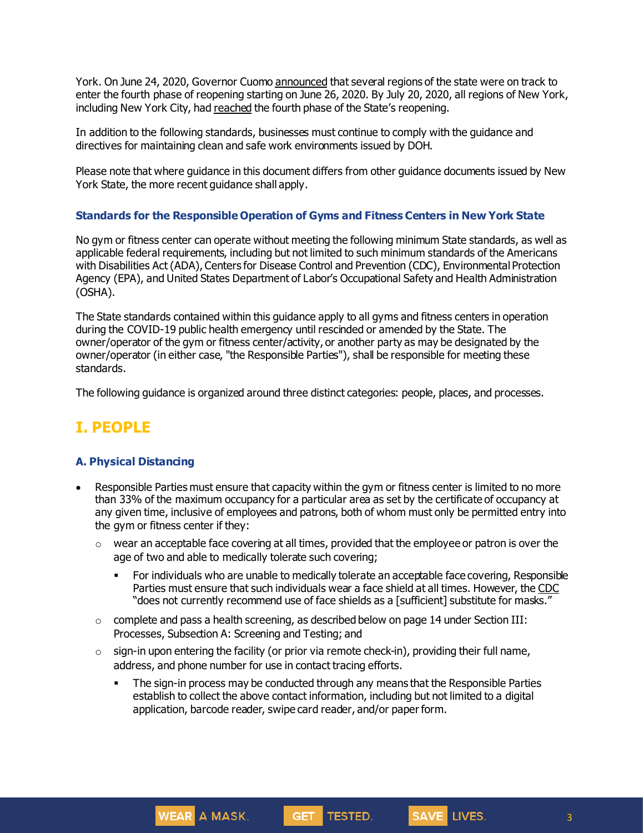York. On June 24, 2020, Governor Cuomo [announced](https://www.governor.ny.gov/news/governor-cuomo-announces-five-regions-track-enter-phase-iv-reopening-friday) that several regions of the state were on track to enter the fourth phase of reopening starting on June 26, 2020. By July 20, 2020, all regions of New York, including New York City, had [reached](https://www.governor.ny.gov/news/governor-cuomo-announces-new-york-city-cleared-global-health-experts-enter-phase-four-reopening) the fourth phase of the State's reopening.

In addition to the following standards, businesses must continue to comply with the guidance and directives for maintaining clean and safe work environments issued by DOH.

Please note that where guidance in this document differs from other guidance documents issued by New York State, the more recent guidance shall apply.

#### **Standards for the Responsible Operation of Gyms and Fitness Centers in New York State**

No gym or fitness center can operate without meeting the following minimum State standards, as well as applicable federal requirements, including but not limited to such minimum standards of the Americans with Disabilities Act (ADA), Centers for Disease Control and Prevention (CDC), Environmental Protection Agency (EPA), and United States Department of Labor's Occupational Safety and Health Administration (OSHA).

The State standards contained within this guidance apply to all gyms and fitness centers in operation during the COVID-19 public health emergency until rescinded or amended by the State. The owner/operator of the gym or fitness center/activity, or another party as may be designated by the owner/operator (in either case, "the Responsible Parties"), shall be responsible for meeting these standards.

The following guidance is organized around three distinct categories: people, places, and processes.

## **I. PEOPLE**

#### **A. Physical Distancing**

- Responsible Parties must ensure that capacity within the gym or fitness center is limited to no more than 33% of the maximum occupancy for a particular area as set by the certificate of occupancy at any given time, inclusive of employees and patrons, both of whom must only be permitted entry into the gym or fitness center if they:
	- $\circ$  wear an acceptable face covering at all times, provided that the employee or patron is over the age of two and able to medically tolerate such covering;
		- **For individuals who are unable to medically tolerate an acceptable face covering, Responsible** Parties must ensure that such individuals wear a face shield at all times. However, the [CDC](https://www.cdc.gov/coronavirus/2019-ncov/prevent-getting-sick/cloth-face-cover-guidance.html) "does not currently recommend use of face shields as a [sufficient] substitute for masks."
	- $\circ$  complete and pass a health screening, as described below on page 14 under Section III: Processes, Subsection A: Screening and Testing; and
	- $\circ$  sign-in upon entering the facility (or prior via remote check-in), providing their full name, address, and phone number for use in contact tracing efforts.

WEAR A MASK.

**• The sign-in process may be conducted through any means that the Responsible Parties** establish to collect the above contact information, including but not limited to a digital application, barcode reader, swipe card reader, and/or paper form.

GET TESTED.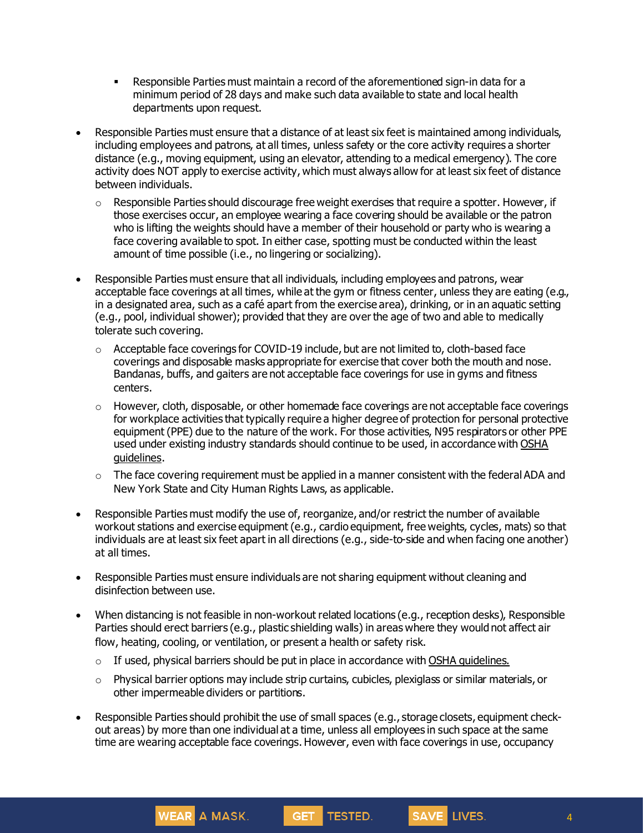- **Responsible Parties must maintain a record of the aforementioned sign-in data for a** minimum period of 28 days and make such data available to state and local health departments upon request.
- Responsible Parties must ensure that a distance of at least six feet is maintained among individuals, including employees and patrons, at all times, unless safety or the core activity requires a shorter distance (e.g., moving equipment, using an elevator, attending to a medical emergency). The core activity does NOT apply to exercise activity, which must always allow for at least six feet of distance between individuals.
	- $\circ$  Responsible Parties should discourage free weight exercises that require a spotter. However, if those exercises occur, an employee wearing a face covering should be available or the patron who is lifting the weights should have a member of their household or party who is wearing a face covering available to spot. In either case, spotting must be conducted within the least amount of time possible (i.e., no lingering or socializing).
- Responsible Parties must ensure that all individuals, including employees and patrons, wear acceptable face coverings at all times, while at the gym or fitness center, unless they are eating (e.g., in a designated area, such as a café apart from the exercise area), drinking, or in an aquatic setting (e.g., pool, individual shower); provided that they are over the age of two and able to medically tolerate such covering.
	- $\circ$  Acceptable face coverings for COVID-19 include, but are not limited to, cloth-based face coverings and disposable masks appropriate for exercise that cover both the mouth and nose. Bandanas, buffs, and gaiters are not acceptable face coverings for use in gyms and fitness centers.
	- $\circ$  However, cloth, disposable, or other homemade face coverings are not acceptable face coverings for workplace activities that typically require a higher degree of protection for personal protective equipment (PPE) due to the nature of the work. For those activities, N95 respirators or other PPE used under existing industry standards should continue to be used, in accordance with [OSHA](https://www.osha.gov/SLTC/personalprotectiveequipment/) [guidelines.](https://www.osha.gov/SLTC/personalprotectiveequipment/)
	- $\circ$  The face covering requirement must be applied in a manner consistent with the federal ADA and New York State and City Human Rights Laws, as applicable.
- Responsible Parties must modify the use of, reorganize, and/or restrict the number of available workout stations and exercise equipment (e.g., cardio equipment, free weights, cycles, mats) so that individuals are at least six feet apart in all directions (e.g., side-to-side and when facing one another) at all times.
- Responsible Parties must ensure individuals are not sharing equipment without cleaning and disinfection between use.
- When distancing is not feasible in non-workout related locations (e.g., reception desks), Responsible Parties should erect barriers (e.g., plastic shielding walls) in areas where they would not affect air flow, heating, cooling, or ventilation, or present a health or safety risk.
	- $\circ$  If used, physical barriers should be put in place in accordance with OSHA [guidelines](https://www.osha.gov/Publications/OSHA3990.pdf).

- $\circ$  Physical barrier options may include strip curtains, cubicles, plexiglass or similar materials, or other impermeable dividers or partitions.
- Responsible Parties should prohibit the use of small spaces (e.g., storage closets, equipment checkout areas) by more than one individual at a time, unless all employees in such space at the same time are wearing acceptable face coverings. However, even with face coverings in use, occupancy

GET TESTED.

SAVE LIVES.

4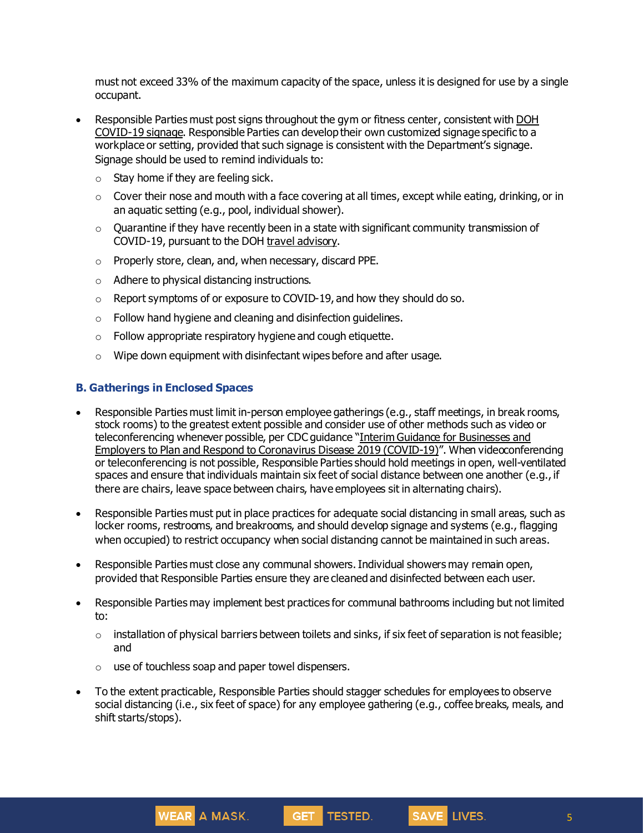must not exceed 33% of the maximum capacity of the space, unless it is designed for use by a single occupant.

- Responsible Parties must post signs throughout the gym or fitness center, consistent with [DOH](https://coronavirus.health.ny.gov/system/files/documents/2020/04/13067_coronavirus_protectyourself_poster_042020.pdf) [COVID-19](https://coronavirus.health.ny.gov/system/files/documents/2020/04/13067_coronavirus_protectyourself_poster_042020.pdf) signage. Responsible Parties can develop their own customized signage specific to a workplace or setting, provided that such signage is consistent with the Department's signage. Signage should be used to remind individuals to:
	- $\circ$  Stay home if they are feeling sick.
	- $\circ$  Cover their nose and mouth with a face covering at all times, except while eating, drinking, or in an aquatic setting (e.g., pool, individual shower).
	- $\circ$  Quarantine if they have recently been in a state with significant community transmission of COVID-19, pursuant to the DOH travel [advisory](https://coronavirus.health.ny.gov/covid-19-travel-advisory).
	- o Properly store, clean, and, when necessary, discard PPE.
	- o Adhere to physical distancing instructions.
	- o Report symptoms of or exposure to COVID-19, and how they should do so.
	- o Follow hand hygiene and cleaning and disinfection guidelines.
	- $\circ$  Follow appropriate respiratory hygiene and cough etiquette.
	- $\circ$  Wipe down equipment with disinfectant wipes before and after usage.

#### **B. Gatherings in Enclosed Spaces**

- Responsible Parties must limit in-person employee gatherings (e.g., staff meetings, in break rooms, stock rooms) to the greatest extent possible and consider use of other methods such as video or teleconferencing whenever possible, per CDC guidance "Interim Guidance for [Businesses](https://www.cdc.gov/coronavirus/2019-ncov/community/guidance-business-response.html) and Employers to Plan and Respond to [Coronavirus](https://www.cdc.gov/coronavirus/2019-ncov/community/guidance-business-response.html) Disease 2019 (COVID-19)". When videoconferencing or teleconferencing is not possible, Responsible Parties should hold meetings in open, well-ventilated spaces and ensure that individuals maintain six feet of social distance between one another (e.g., if there are chairs, leave space between chairs, have employees sit in alternating chairs).
- Responsible Parties must put in place practices for adequate social distancing in small areas, such as locker rooms, restrooms, and breakrooms, and should develop signage and systems (e.g., flagging when occupied) to restrict occupancy when social distanging cannot be maintained in such areas.
- Responsible Parties must close any communal showers.Individual showers may remain open, provided that Responsible Parties ensure they are cleaned and disinfected between each user.
- Responsible Parties may implement best practices for communal bathrooms including but not limited to:
	- $\circ$  installation of physical barriers between toilets and sinks, if six feet of separation is not feasible; and
	- $\circ$  use of touchless soap and paper towel dispensers.

WEAR A MASK.

• To the extent practicable, Responsible Parties should stagger schedules for employees to observe social distancing (i.e., six feet of space) for any employee gathering (e.g., coffee breaks, meals, and shift starts/stops).

GET TESTED.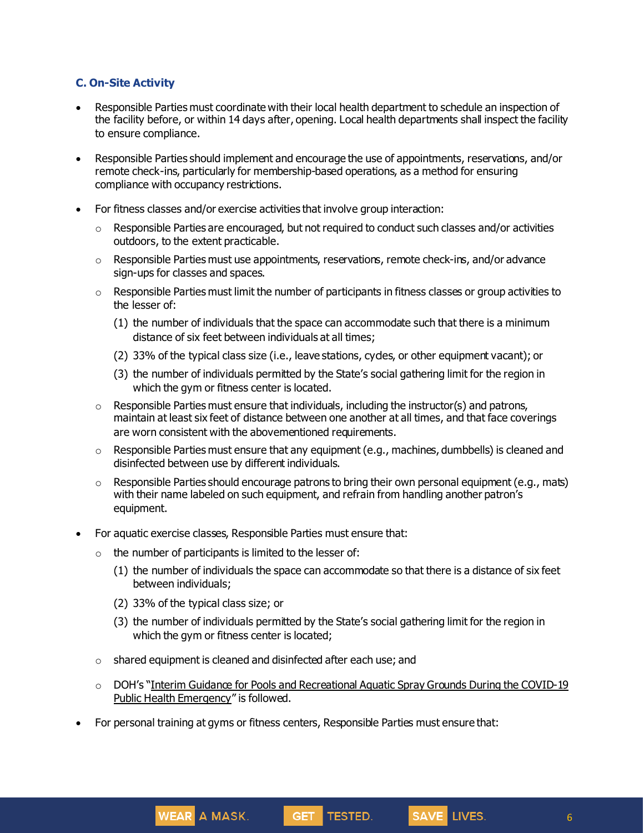#### **C. On-Site Activity**

- Responsible Parties must coordinate with their local health department to schedule an inspection of the facility before, or within 14 days after, opening. Local health departments shall inspect the facility to ensure compliance.
- Responsible Parties should implement and encourage the use of appointments, reservations, and/or remote check-ins, particularly for membership-based operations, as a method for ensuring compliance with occupancy restrictions.
- For fitness classes and/or exercise activities that involve group interaction:
	- $\circ$  Responsible Parties are encouraged, but not required to conduct such classes and/or activities outdoors, to the extent practicable.
	- $\circ$  Responsible Parties must use appointments, reservations, remote check-ins, and/or advance sign-ups for classes and spaces.
	- $\circ$  Responsible Parties must limit the number of participants in fitness classes or group activities to the lesser of:
		- (1) the number of individuals that the space can accommodate such that there is a minimum distance of six feet between individuals at all times;
		- (2) 33% of the typical class size (i.e., leave stations, cycles, or other equipment vacant); or
		- (3) the number of individuals permitted by the State's social gathering limit for the region in which the gym or fitness center is located.
	- $\circ$  Responsible Parties must ensure that individuals, including the instructor(s) and patrons, maintain at least six feet of distance between one another at all times, and that face coverings are worn consistent with the abovementioned requirements.
	- $\circ$  Responsible Parties must ensure that any equipment (e.g., machines, dumbbells) is cleaned and disinfected between use by different individuals.
	- $\circ$  Responsible Parties should encourage patrons to bring their own personal equipment (e.g., mats) with their name labeled on such equipment, and refrain from handling another patron's equipment.
- For aquatic exercise classes, Responsible Parties must ensure that:
	- $\circ$  the number of participants is limited to the lesser of:
		- (1) the number of individuals the space can accommodate so that there is a distance of six feet between individuals;
		- (2) 33% of the typical class size; or

WEAR A MASK.

- (3) the number of individuals permitted by the State's social gathering limit for the region in which the gym or fitness center is located;
- o shared equipment is cleaned and disinfected after each use; and
- $\circ$  DOH's "Interim Guidance for Pools and [Recreational](https://coronavirus.health.ny.gov/system/files/documents/2020/06/doh_covid19_pooladvisory_061120_0.pdf) Aquatic Spray Grounds During the COVID-19 Public Health [Emergency](https://coronavirus.health.ny.gov/system/files/documents/2020/06/doh_covid19_pooladvisory_061120_0.pdf)" is followed.

GET TESTED.

• For personal training at gyms or fitness centers, Responsible Parties must ensure that: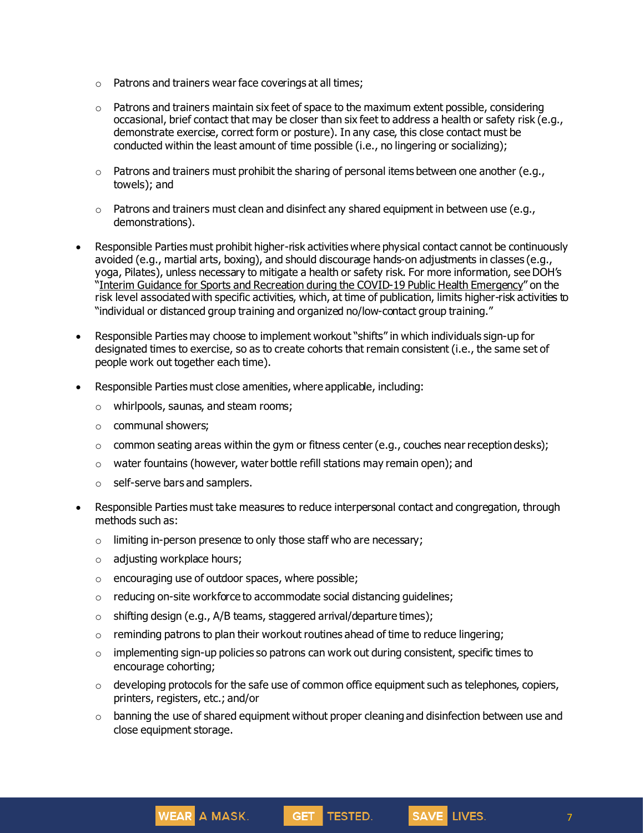- o Patrons and trainers wear face coverings at all times;
- $\circ$  Patrons and trainers maintain six feet of space to the maximum extent possible, considering occasional, brief contact that may be closer than six feet to address a health or safety risk (e.g., demonstrate exercise, correct form or posture). In any case, this close contact must be conducted within the least amount of time possible (i.e., no lingering or socializing);
- $\circ$  Patrons and trainers must prohibit the sharing of personal items between one another (e.g., towels); and
- $\circ$  Patrons and trainers must clean and disinfect any shared equipment in between use (e.g., demonstrations).
- Responsible Parties must prohibit higher-risk activities where physical contact cannot be continuously avoided (e.g., martial arts, boxing), and should discourage hands-on adjustments in classes (e.g., yoga, Pilates), unless necessary to mitigate a health or safety risk. For more information, seeDOH's "Interim Guidance for Sports and Recreation during the COVID-19 Public Health [Emergency](https://www.governor.ny.gov/sites/governor.ny.gov/files/atoms/files/SportsAndRecreationMasterGuidance.pdf)" on the risk level associated with specific activities, which, at time of publication, limits higher-risk activities to "individual or distanced group training and organized no/low-contact group training."
- Responsible Parties may choose to implement workout "shifts" in which individuals sign-up for designated times to exercise, so as to create cohorts that remain consistent (i.e., the same set of people work out together each time).
- Responsible Parties must close amenities, where applicable, including:
	- o whirlpools, saunas, and steam rooms;
	- o communal showers;
	- $\circ$  common seating areas within the gym or fitness center (e.g., couches near reception desks);
	- o water fountains (however, water bottle refill stations may remain open); and
	- o self-serve bars and samplers.
- Responsible Parties must take measures to reduce interpersonal contact and congregation, through methods such as:
	- $\circ$  limiting in-person presence to only those staff who are necessary;
	- o adjusting workplace hours;
	- o encouraging use of outdoor spaces, where possible;

- o reducing on-site workforce to accommodate social distancing guidelines;
- $\circ$  shifting design (e.g., A/B teams, staggered arrival/departure times);
- $\circ$  reminding patrons to plan their workout routines ahead of time to reduce lingering;
- o implementing sign-up policies so patrons can work out during consistent, specific times to encourage cohorting;
- $\circ$  developing protocols for the safe use of common office equipment such as telephones, copiers, printers, registers, etc.; and/or
- $\circ$  banning the use of shared equipment without proper cleaning and disinfection between use and close equipment storage.

GET TESTED.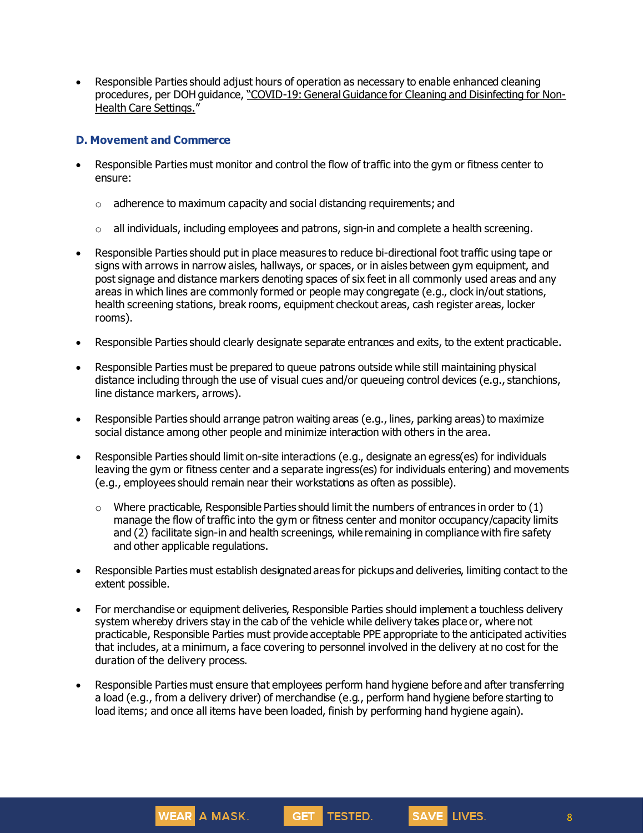• Responsible Parties should adjust hours of operation as necessary to enable enhanced cleaning procedures, per DOH guidance, "COVID-19: General Guidance for Cleaning and Disinfecting for Non-Health Care [Settings.](https://www1.nyc.gov/assets/doh/downloads/pdf/imm/disinfection-guidance-for-businesses-covid19.pdf)"

#### **D. Movement and Commerce**

- Responsible Parties must monitor and control the flow of traffic into the gym or fitness center to ensure:
	- $\circ$  adherence to maximum capacity and social distancing requirements; and
	- $\circ$  all individuals, including employees and patrons, sign-in and complete a health screening.
- Responsible Parties should put in place measures to reduce bi-directional foot traffic using tape or signs with arrows in narrow aisles, hallways, or spaces, or in aisles between gym equipment, and post signage and distance markers denoting spaces of six feet in all commonly used areas and any areas in which lines are commonly formed or people may congregate (e.g., clock in/out stations, health screening stations, break rooms, equipment checkout areas, cash register areas, locker rooms).
- Responsible Parties should clearly designate separate entrances and exits, to the extent practicable.
- Responsible Parties must be prepared to queue patrons outside while still maintaining physical distance including through the use of visual cues and/or queueing control devices (e.g., stanchions, line distance markers, arrows).
- Responsible Parties should arrange patron waiting areas (e.g., lines, parking areas) to maximize social distance among other people and minimize interaction with others in the area.
- Responsible Parties should limit on-site interactions (e.g., designate an egress(es) for individuals leaving the gym or fitness center and a separate ingress(es) for individuals entering) and movements (e.g., employees should remain near their workstations as often as possible).
	- $\circ$  Where practicable, Responsible Parties should limit the numbers of entrances in order to (1) manage the flow of traffic into the gym or fitness center and monitor occupancy/capacity limits and (2) facilitate sign-in and health screenings, while remaining in compliance with fire safety and other applicable regulations.
- Responsible Parties must establish designated areas for pickups and deliveries, limiting contact to the extent possible.
- For merchandise or equipment deliveries, Responsible Parties should implement a touchless delivery system whereby drivers stay in the cab of the vehicle while delivery takes place or, where not practicable, Responsible Parties must provide acceptable PPE appropriate to the anticipated activities that includes, at a minimum, a face covering to personnel involved in the delivery at no cost for the duration of the delivery process.
- Responsible Parties must ensure that employees perform hand hygiene before and after transferring a load (e.g., from a delivery driver) of merchandise (e.g., perform hand hygiene before starting to load items; and once all items have been loaded, finish by performing hand hygiene again).

WEAR A MASK.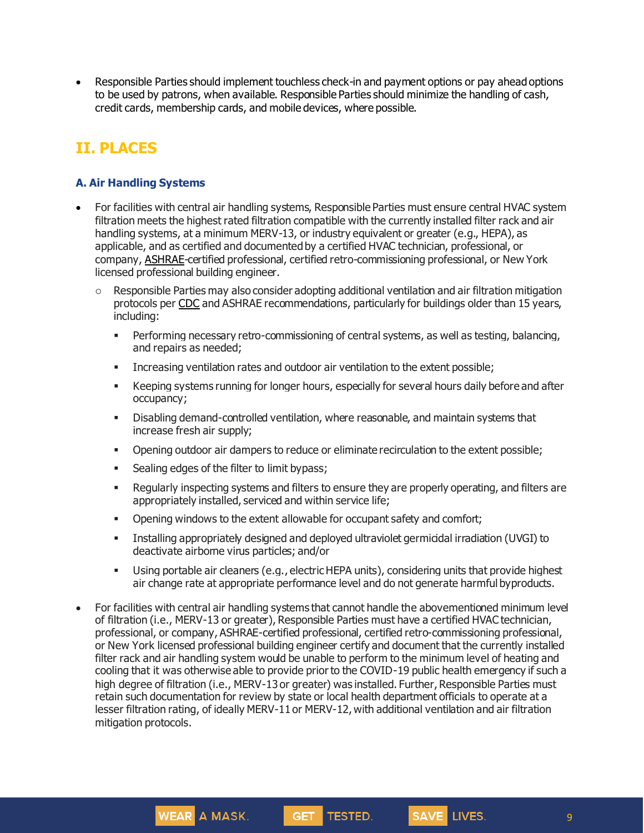• Responsible Parties should implement touchless check-in and payment options or pay ahead options to be used by patrons, when available. Responsible Parties should minimize the handling of cash, credit cards, membership cards, and mobile devices, where possible.

## **II. PLACES**

#### **A. Air Handling Systems**

- For facilities with central air handling systems, Responsible Parties must ensure central HVAC system filtration meets the highest rated filtration compatible with the currently installed filter rack and air handling systems, at a minimum MERV-13, or industry equivalent or greater (e.g., HEPA), as applicable, and as certified and documented by a certified HVAC technician, professional, or company, [ASHRAE](https://www.ashrae.org/about/news/2020/ashrae-offers-covid-19-building-readiness-reopening-guidance)-certified professional, certified retro-commissioning professional, or New York licensed professional building engineer.
	- $\circ$  Responsible Parties may also consider adopting additional ventilation and air filtration mitigation protocols pe[r CDC](https://www.cdc.gov/coronavirus/2019-ncov/community/guidance-business-response.html) and ASHRAE recommendations, particularly for buildings older than 15 years, including:
		- **Performing necessary retro-commissioning of central systems, as well as testing, balancing,** and repairs as needed;
		- **EXECT** Increasing ventilation rates and outdoor air ventilation to the extent possible;
		- Keeping systems running for longer hours, especially for several hours daily before and after occupancy;
		- Disabling demand-controlled ventilation, where reasonable, and maintain systems that increase fresh air supply;
		- Opening outdoor air dampers to reduce or eliminate recirculation to the extent possible;
		- **EXEC** Sealing edges of the filter to limit bypass;

WEAR A MASK.

- Regularly inspecting systems and filters to ensure they are properly operating, and filters are appropriately installed, serviced and within service life;
- **•** Opening windows to the extent allowable for occupant safety and comfort;
- Installing appropriately designed and deployed ultraviolet germicidal irradiation (UVGI) to deactivate airborne virus particles; and/or
- Using portable air cleaners (e.g., electric HEPA units), considering units that provide highest air change rate at appropriate performance level and do not generate harmful byproducts.
- For facilities with central air handling systems that cannot handle the abovementioned minimum level of filtration (i.e., MERV-13 or greater), Responsible Parties must have a certified HVAC technician, professional, or company, ASHRAE-certified professional, certified retro-commissioning professional, or New York licensed professional building engineer certify and document that the currently installed filter rack and air handling system would be unable to perform to the minimum level of heating and cooling that it was otherwise able to provide prior to the COVID-19 public health emergency if such a high degree of filtration (i.e., MERV-13 or greater) was installed. Further, Responsible Parties must retain such documentation for review by state or local health department officials to operate at a lesser filtration rating, of ideally MERV-11 or MERV-12, with additional ventilation and air filtration mitigation protocols.

GET TESTED.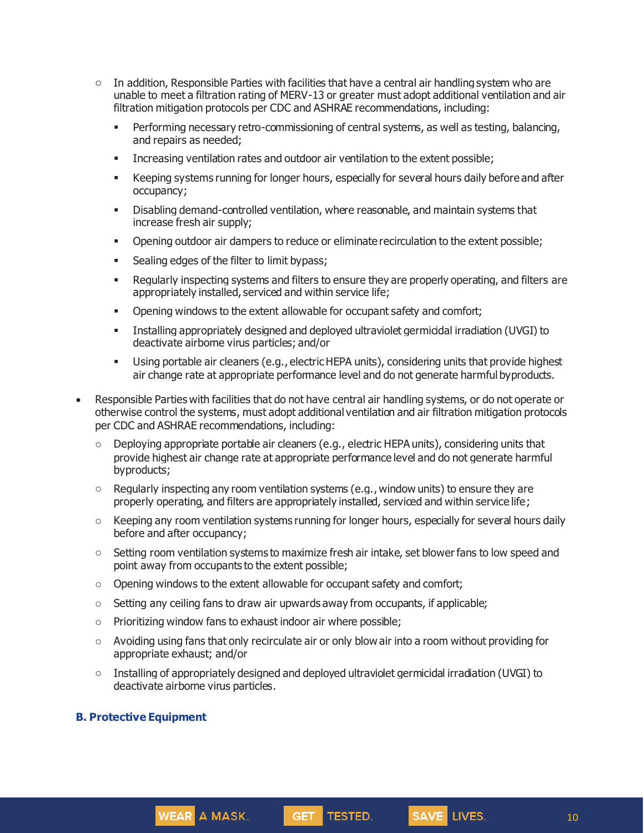- $\circ$  In addition, Responsible Parties with facilities that have a central air handling system who are unable to meet a filtration rating of MERV-13 or greater must adopt additional ventilation and air filtration mitigation protocols per CDC and ASHRAE recommendations, including:
	- **•** Performing necessary retro-commissioning of central systems, as well as testing, balancing, and repairs as needed;
	- Increasing ventilation rates and outdoor air ventilation to the extent possible;
	- **EXECT** Keeping systems running for longer hours, especially for several hours daily before and after occupancy;
	- Disabling demand-controlled ventilation, where reasonable, and maintain systems that increase fresh air supply;
	- **•** Opening outdoor air dampers to reduce or eliminate recirculation to the extent possible;
	- **EXEC** Sealing edges of the filter to limit bypass;
	- Regularly inspecting systems and filters to ensure they are properly operating, and filters are appropriately installed, serviced and within service life;
	- **•** Opening windows to the extent allowable for occupant safety and comfort;
	- Installing appropriately designed and deployed ultraviolet germicidal irradiation (UVGI) to deactivate airborne virus particles; and/or
	- Using portable air cleaners (e.g., electric HEPA units), considering units that provide highest air change rate at appropriate performance level and do not generate harmful byproducts.
- Responsible Parties with facilities that do not have central air handling systems, or do not operate or otherwise control the systems, must adopt additional ventilation and air filtration mitigation protocols per CDC and ASHRAE recommendations, including:
	- $\circ$  Deploying appropriate portable air cleaners (e.g., electric HEPA units), considering units that provide highest air change rate at appropriate performance level and do not generate harmful byproducts;
	- $\circ$  Regularly inspecting any room ventilation systems (e.g., window units) to ensure they are properly operating, and filters are appropriately installed, serviced and within service life;
	- o Keeping any room ventilation systems running for longer hours, especially for several hours daily before and after occupancy;
	- $\circ$  Setting room ventilation systems to maximize fresh air intake, set blower fans to low speed and point away from occupants to the extent possible;
	- o Opening windows to the extent allowable for occupant safety and comfort;
	- $\circ$  Setting any ceiling fans to draw air upwards away from occupants, if applicable;
	- o Prioritizing window fans to exhaust indoor air where possible;

- $\circ$  Avoiding using fans that only recirculate air or only blow air into a room without providing for appropriate exhaust; and/or
- $\circ$  Installing of appropriately designed and deployed ultraviolet germicidal irradiation (UVGI) to deactivate airborne virus particles.

GET TESTED.

#### **B. Protective Equipment**

10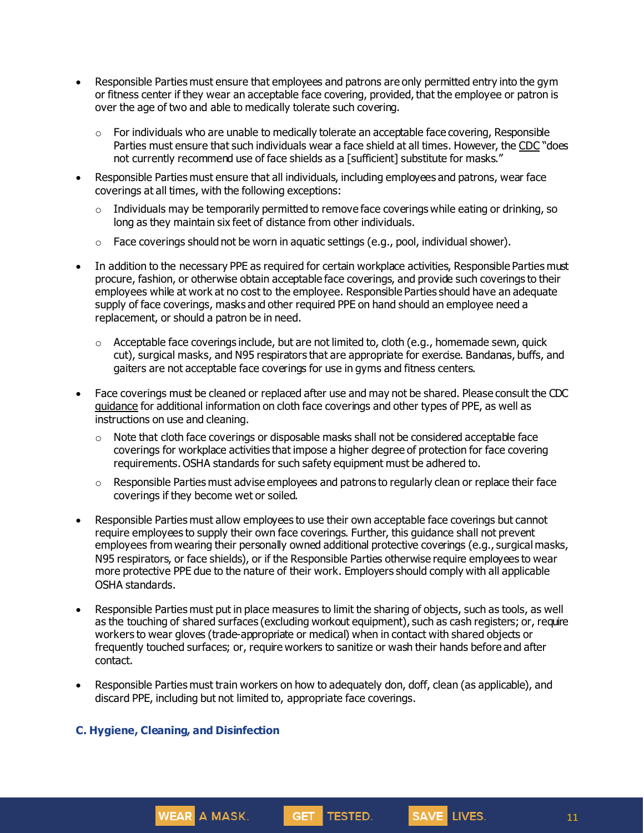- Responsible Parties must ensure that employees and patrons are only permitted entry into the gym or fitness center if they wear an acceptable face covering, provided, that the employee or patron is over the age of two and able to medically tolerate such covering.
	- $\circ$  For individuals who are unable to medically tolerate an acceptable face covering, Responsible Parties must ensure that such individuals wear a face shield at all times. However, the [CDC](https://www.cdc.gov/coronavirus/2019-ncov/prevent-getting-sick/cloth-face-cover-guidance.html) "does not currently recommend use of face shields as a [sufficient] substitute for masks."
- Responsible Parties must ensure that all individuals, including employees and patrons, wear face coverings at all times, with the following exceptions:
	- $\circ$  Individuals may be temporarily permitted to remove face coverings while eating or drinking, so long as they maintain six feet of distance from other individuals.
	- o Face coverings should not be worn in aquatic settings (e.g., pool, individual shower).
- In addition to the necessary PPE as required for certain workplace activities, Responsible Parties must procure, fashion, or otherwise obtain acceptable face coverings, and provide such coverings to their employees while at work at no cost to the employee. Responsible Parties should have an adequate supply of face coverings, masks and other required PPE on hand should an employee need a replacement, or should a patron be in need.
	- $\circ$  Acceptable face coverings include, but are not limited to, cloth (e.g., homemade sewn, quick cut), surgical masks, and N95 respirators that are appropriate for exercise. Bandanas, buffs, and gaiters are not acceptable face coverings for use in gyms and fitness centers.
- Face coverings must be cleaned or replaced after use and may not be shared. Please consult the CDC [guidance](https://www.cdc.gov/coronavirus/2019-ncov/community/guidance-business-response.html) for additional information on cloth face coverings and other types of PPE, as well as instructions on use and cleaning.
	- $\circ$  Note that cloth face coverings or disposable masks shall not be considered acceptable face coverings for workplace activities that impose a higher degree of protection for face covering requirements. OSHA standards for such safety equipment must be adhered to.
	- $\circ$  Responsible Parties must advise employees and patrons to regularly clean or replace their face coverings if they become wet or soiled.
- Responsible Parties must allow employees to use their own acceptable face coverings but cannot require employees to supply their own face coverings. Further, this guidance shall not prevent employees from wearing their personally owned additional protective coverings (e.g., surgical masks, N95 respirators, or face shields), or if the Responsible Parties otherwise require employees to wear more protective PPE due to the nature of their work. Employers should comply with all applicable OSHA standards.
- Responsible Parties must put in place measures to limit the sharing of objects, such as tools, as well as the touching of shared surfaces (excluding workout equipment), such as cash registers; or, require workers to wear gloves (trade-appropriate or medical) when in contact with shared objects or frequently touched surfaces; or, require workers to sanitize or wash their hands before and after contact.
- Responsible Parties must train workers on how to adequately don, doff, clean (as applicable), and discard PPE, including but not limited to, appropriate face coverings.

GET TESTED.

SAVE LIVES.

#### **C. Hygiene, Cleaning, and Disinfection**

WEAR A MASK.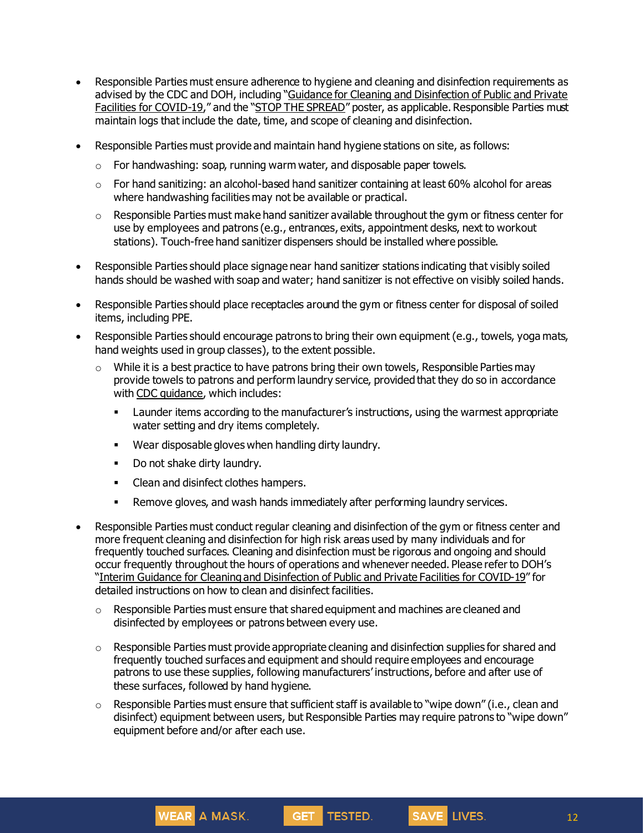- Responsible Parties must ensure adherence to hygiene and cleaning and disinfection requirements as advised by the CDC and DOH, including "Guidance for Cleaning and [Disinfection](https://coronavirus.health.ny.gov/system/files/documents/2020/03/cleaning_guidance_general_building.pdf) of Public and Private Facilities for [COVID-19](https://coronavirus.health.ny.gov/system/files/documents/2020/03/cleaning_guidance_general_building.pdf)," and the "STOP THE [SPREAD](https://coronavirus.health.ny.gov/system/files/documents/2020/04/13067_coronavirus_protectyourself_poster_042020.pdf)" poster, as applicable. Responsible Parties must maintain logs that include the date, time, and scope of cleaning and disinfection.
- Responsible Parties must provide and maintain hand hygiene stations on site, as follows:
	- $\circ$  For handwashing: soap, running warm water, and disposable paper towels.
	- $\circ$  For hand sanitizing: an alcohol-based hand sanitizer containing at least 60% alcohol for areas where handwashing facilities may not be available or practical.
	- $\circ$  Responsible Parties must make hand sanitizer available throughout the gym or fitness center for use by employees and patrons (e.g., entrances, exits, appointment desks, next to workout stations). Touch-free hand sanitizer dispensers should be installed where possible.
- Responsible Parties should place signage near hand sanitizer stations indicating that visibly soiled hands should be washed with soap and water; hand sanitizer is not effective on visibly soiled hands.
- Responsible Parties should place receptacles around the gym or fitness center for disposal of soiled items, including PPE.
- Responsible Parties should encourage patrons to bring their own equipment (e.g., towels, yoga mats, hand weights used in group classes), to the extent possible.
	- $\circ$  While it is a best practice to have patrons bring their own towels, Responsible Parties may provide towels to patrons and perform laundry service, provided that they do so in accordance with CDC [guidance,](https://www.cdc.gov/coronavirus/2019-ncov/community/disinfecting-building-facility.html) which includes:
		- Launder items according to the manufacturer's instructions, using the warmest appropriate water setting and dry items completely.
		- Wear disposable gloves when handling dirty laundry.
		- Do not shake dirty laundry.
		- Clean and disinfect clothes hampers.

- **EXELG** Remove gloves, and wash hands immediately after performing laundry services.
- Responsible Parties must conduct regular cleaning and disinfection of the gym or fitness center and more frequent cleaning and disinfection for high risk areas used by many individuals and for frequently touched surfaces. Cleaning and disinfection must be rigorous and ongoing and should occur frequently throughout the hours of operations and whenever needed. Please refer to DOH's "Interim Guidance for Cleaning and [Disinfection](https://coronavirus.health.ny.gov/system/files/documents/2020/03/cleaning_guidance_general_building.pdf) of Public and Private Facilities for COVID-19" for detailed instructions on how to clean and disinfect facilities.
	- $\circ$  Responsible Parties must ensure that shared equipment and machines are cleaned and disinfected by employees or patrons between every use.
	- $\circ$  Responsible Parties must provide appropriate cleaning and disinfection supplies for shared and frequently touched surfaces and equipment and should require employees and encourage patrons to use these supplies, following manufacturers' instructions, before and after use of these surfaces, followed by hand hygiene.
	- $\circ$  Responsible Parties must ensure that sufficient staff is available to "wipe down" (i.e., clean and disinfect) equipment between users, but Responsible Parties may require patrons to "wipe down" equipment before and/or after each use.

GET TESTED.

SAVE LIVES.

12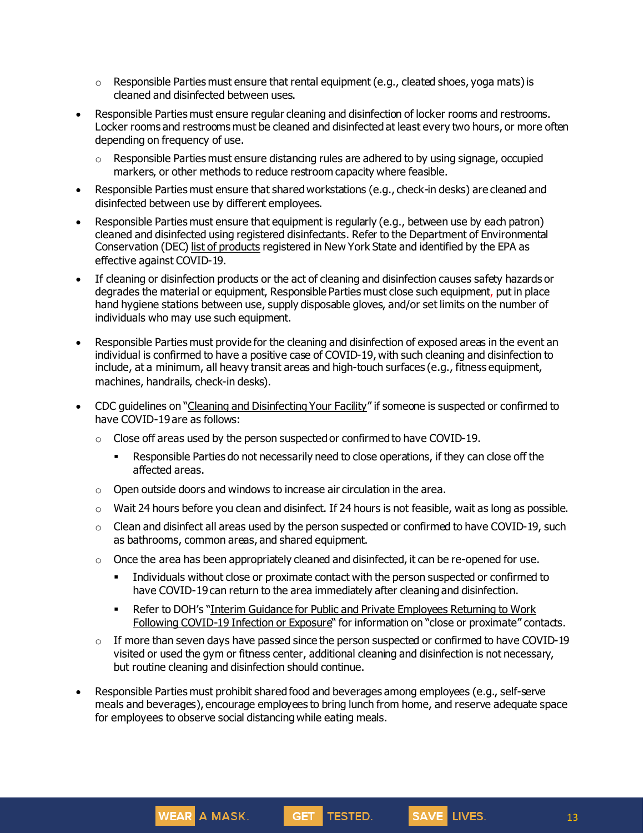- $\circ$  Responsible Parties must ensure that rental equipment (e.g., cleated shoes, yoga mats) is cleaned and disinfected between uses.
- Responsible Parties must ensure regular cleaning and disinfection of locker rooms and restrooms. Locker rooms and restrooms must be cleaned and disinfected at least every two hours, or more often depending on frequency of use.
	- $\circ$  Responsible Parties must ensure distancing rules are adhered to by using signage, occupied markers, or other methods to reduce restroom capacity where feasible.
- Responsible Parties must ensure that sharedworkstations (e.g., check-in desks) are cleaned and disinfected between use by different employees.
- Responsible Parties must ensure that equipment is regularly (e.g., between use by each patron) cleaned and disinfected using registered disinfectants. Refer to the Department of Environmental Conservation (DEC) list of [products](http://www.dec.ny.gov/docs/materials_minerals_pdf/covid19.pdf) registered in New York State and identified by the EPA as effective against COVID-19.
- If cleaning or disinfection products or the act of cleaning and disinfection causes safety hazards or degrades the material or equipment, Responsible Parties must close such equipment, put in place hand hygiene stations between use, supply disposable gloves, and/or set limits on the number of individuals who may use such equipment.
- Responsible Parties must provide for the cleaning and disinfection of exposed areas in the event an individual is confirmed to have a positive case of COVID-19, with such cleaning and disinfection to include, at a minimum, all heavy transit areas and high-touch surfaces (e.g., fitness equipment, machines, handrails, check-in desks).
- CDC guidelines on "Cleaning and [Disinfecting](https://www.cdc.gov/coronavirus/2019-ncov/community/disinfecting-building-facility.html) Your Facility" if someone is suspected or confirmed to have COVID-19 are as follows:
	- $\circ$  Close off areas used by the person suspected or confirmed to have COVID-19.
		- Responsible Parties do not necessarily need to close operations, if they can close off the affected areas.
	- $\circ$  Open outside doors and windows to increase air circulation in the area.

- $\circ$  Wait 24 hours before you clean and disinfect. If 24 hours is not feasible, wait as long as possible.
- $\circ$  Clean and disinfect all areas used by the person suspected or confirmed to have COVID-19, such as bathrooms, common areas, and shared equipment.
- $\circ$  Once the area has been appropriately cleaned and disinfected, it can be re-opened for use.
	- **•** Individuals without close or proximate contact with the person suspected or confirmed to have COVID-19 can return to the area immediately after cleaning and disinfection.
	- Refer to DOH's "Interim Guidance for Public and Private [Employees](https://coronavirus.health.ny.gov/system/files/documents/2020/06/doh_covid19_publicprivateemployeereturntowork_053120.pdf) Returning to Work Following [COVID-19](https://coronavirus.health.ny.gov/system/files/documents/2020/06/doh_covid19_publicprivateemployeereturntowork_053120.pdf) Infection or Exposure" for information on "close or proximate" contacts.
- $\circ$  If more than seven days have passed since the person suspected or confirmed to have COVID-19 visited or used the gym or fitness center, additional cleaning and disinfection is not necessary, but routine cleaning and disinfection should continue.
- Responsible Parties must prohibit shared food and beverages among employees (e.g., self-serve meals and beverages), encourage employees to bring lunch from home, and reserve adequate space for employees to observe social distancing while eating meals.

GET TESTED.

13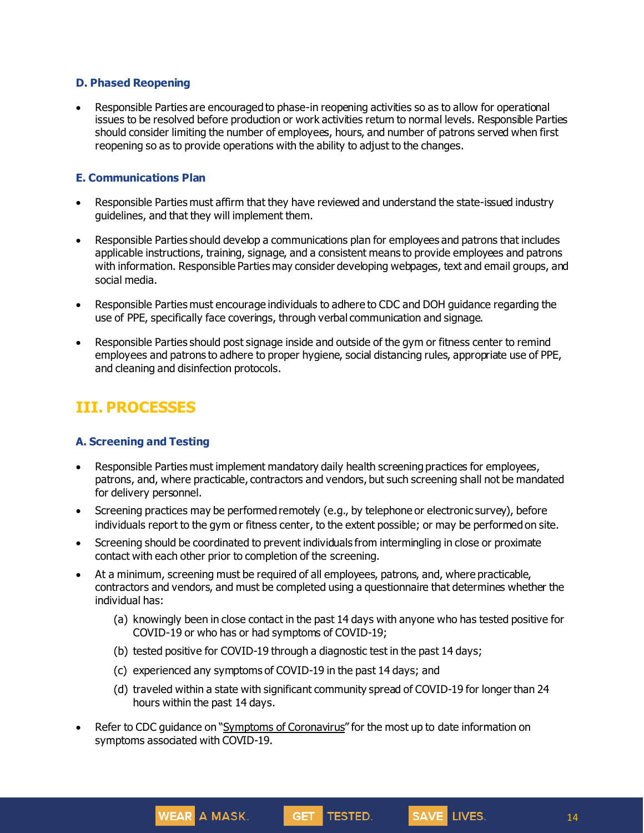#### **D. Phased Reopening**

• Responsible Parties are encouraged to phase-in reopening activities so as to allow for operational issues to be resolved before production or work activities return to normal levels. Responsible Parties should consider limiting the number of employees, hours, and number of patrons served when first reopening so as to provide operations with the ability to adjust to the changes.

#### **E. Communications Plan**

- Responsible Parties must affirm that they have reviewed and understand the state-issued industry guidelines, and that they will implement them.
- Responsible Parties should develop a communications plan for employees and patrons that includes applicable instructions, training, signage, and a consistent means to provide employees and patrons with information. Responsible Parties may consider developing webpages, text and email groups, and social media.
- Responsible Parties must encourage individuals to adhere to CDC and DOH guidance regarding the use of PPE, specifically face coverings, through verbal communication and signage.
- Responsible Parties should post signage inside and outside of the gym or fitness center to remind employees and patrons to adhere to proper hygiene, social distancing rules, appropriate use of PPE, and cleaning and disinfection protocols.

### **III. PROCESSES**

#### **A. Screening and Testing**

- Responsible Parties must implement mandatory daily health screening practices for employees, patrons, and, where practicable, contractors and vendors, but such screening shall not be mandated for delivery personnel.
- Screening practices may be performed remotely (e.g., by telephone or electronic survey), before individuals report to the gym or fitness center, to the extent possible; or may be performed on site.
- Screening should be coordinated to prevent individuals from intermingling in close or proximate contact with each other prior to completion of the screening.
- At a minimum, screening must be required of all employees, patrons, and, where practicable, contractors and vendors, and must be completed using a questionnaire that determines whether the individual has:
	- (a) knowingly been in close contact in the past 14 days with anyone who has tested positive for COVID-19 or who has or had symptoms of COVID-19;
	- (b) tested positive for COVID-19 through a diagnostic test in the past 14 days;
	- (c) experienced any symptoms of COVID-19 in the past 14 days; and

WEAR A MASK.

(d) traveled within a state with significant community spread of COVID-19 for longer than 24 hours within the past 14 days.

GET TESTED.

SAVE LIVES.

Refer to CDC guidance on "Symptoms of [Coronavirus](https://www.cdc.gov/coronavirus/2019-ncov/symptoms-testing/symptoms.html)" for the most up to date information on symptoms associated with COVID-19.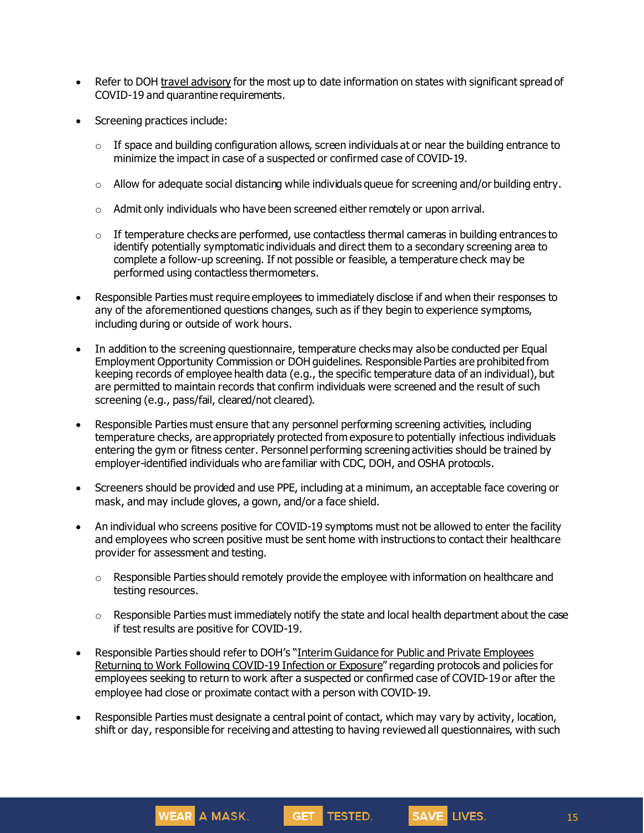- Refer to DOH travel [advisory](https://coronavirus.health.ny.gov/covid-19-travel-advisory) for the most up to date information on states with significant spread of COVID-19 and quarantine requirements.
- Screening practices include:
	- $\circ$  If space and building configuration allows, screen individuals at or near the building entrance to minimize the impact in case of a suspected or confirmed case of COVID-19.
	- $\circ$  Allow for adequate social distancing while individuals queue for screening and/or building entry.
	- o Admit only individuals who have been screened either remotely or upon arrival.
	- $\circ$  If temperature checks are performed, use contactless thermal cameras in building entrances to identify potentially symptomatic individuals and direct them to a secondary screening area to complete a follow-up screening. If not possible or feasible, a temperature check may be performed using contactless thermometers.
- Responsible Parties must require employees to immediately disclose if and when their responses to any of the aforementioned questions changes, such as if they begin to experience symptoms, including during or outside of work hours.
- In addition to the screening questionnaire, temperature checks may also be conducted per Equal Employment Opportunity Commission or DOH guidelines. Responsible Parties are prohibited from keeping records of employee health data (e.g., the specific temperature data of an individual), but are permitted to maintain records that confirm individuals were screened and the result of such screening (e.g., pass/fail, cleared/not cleared).
- Responsible Parties must ensure that any personnel performing screening activities, including temperature checks, are appropriately protected from exposure to potentially infectious individuals entering the gym or fitness center. Personnel performing screening activities should be trained by employer-identified individuals who are familiar with CDC, DOH, and OSHA protocols.
- Screeners should be provided and use PPE, including at a minimum, an acceptable face covering or mask, and may include gloves, a gown, and/or a face shield.
- An individual who screens positive for COVID-19 symptoms must not be allowed to enter the facility and employees who screen positive must be sent home with instructions to contact their healthcare provider for assessment and testing.
	- $\circ$  Responsible Parties should remotely provide the employee with information on healthcare and testing resources.
	- $\circ$  Responsible Parties must immediately notify the state and local health department about the case if test results are positive for COVID-19.
- Responsible Parties should refer to DOH's "Interim Guidance for Public and Private [Employees](https://coronavirus.health.ny.gov/system/files/documents/2020/06/doh_covid19_publicprivateemployeereturntowork_053120.pdf) Returning to Work Following [COVID-19](https://coronavirus.health.ny.gov/system/files/documents/2020/06/doh_covid19_publicprivateemployeereturntowork_053120.pdf) Infection or Exposure" regarding protocols and policies for employees seeking to return to work after a suspected or confirmed case of COVID-19 or after the employee had close or proximate contact with a person with COVID-19.
- Responsible Parties must designate a central point of contact, which may vary by activity, location, shift or day, responsible for receiving and attesting to having reviewed all questionnaires, with such

GET TESTED.

SAVE LIVES.

WEAR A MASK.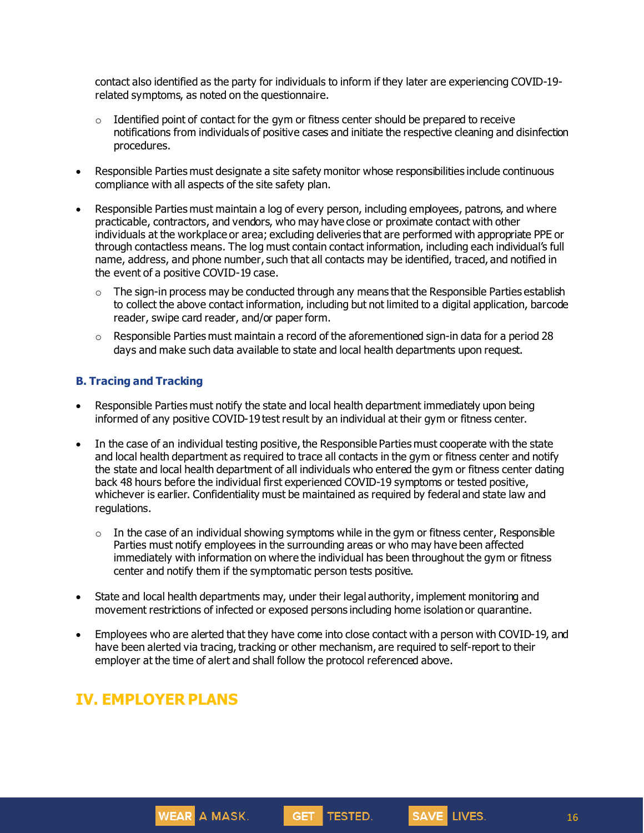contact also identified as the party for individuals to inform if they later are experiencing COVID-19 related symptoms, as noted on the questionnaire.

- $\circ$  Identified point of contact for the gym or fitness center should be prepared to receive notifications from individuals of positive cases and initiate the respective cleaning and disinfection procedures.
- Responsible Parties must designate a site safety monitor whose responsibilities include continuous compliance with all aspects of the site safety plan.
- Responsible Parties must maintain a log of every person, including employees, patrons, and where practicable, contractors, and vendors, who may have close or proximate contact with other individuals at the workplace or area; excluding deliveries that are performed with appropriate PPE or through contactless means. The log must contain contact information, including each individual's full name, address, and phone number, such that all contacts may be identified, traced, and notified in the event of a positive COVID-19 case.
	- $\circ$  The sign-in process may be conducted through any means that the Responsible Parties establish to collect the above contact information, including but not limited to a digital application, barcode reader, swipe card reader, and/or paper form.
	- $\circ$  Responsible Parties must maintain a record of the aforementioned sign-in data for a period 28 days and make such data available to state and local health departments upon request.

#### **B. Tracing and Tracking**

- Responsible Parties must notify the state and local health department immediately upon being informed of any positive COVID-19 test result by an individual at their gym or fitness center.
- In the case of an individual testing positive, the Responsible Parties must cooperate with the state and local health department as required to trace all contacts in the gym or fitness center and notify the state and local health department of all individuals who entered the gym or fitness center dating back 48 hours before the individual first experienced COVID-19 symptoms or tested positive, whichever is earlier. Confidentiality must be maintained as required by federal and state law and regulations.
	- $\circ$  In the case of an individual showing symptoms while in the gym or fitness center, Responsible Parties must notify employees in the surrounding areas or who may have been affected immediately with information on where the individual has been throughout the gym or fitness center and notify them if the symptomatic person tests positive.
- State and local health departments may, under their legal authority, implement monitoring and movement restrictions of infected or exposed persons including home isolationor quarantine.
- Employees who are alerted that they have come into close contact with a person with COVID-19, and have been alerted via tracing, tracking or other mechanism, are required to self-report to their employer at the time of alert and shall follow the protocol referenced above.

GET TESTED.

### **IV. EMPLOYER PLANS**

WEAR A MASK.

16